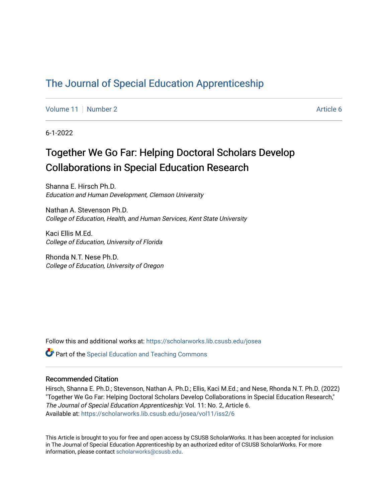## [The Journal of Special Education Apprenticeship](https://scholarworks.lib.csusb.edu/josea)

[Volume 11](https://scholarworks.lib.csusb.edu/josea/vol11) | [Number 2](https://scholarworks.lib.csusb.edu/josea/vol11/iss2) Article 6

6-1-2022

# Together We Go Far: Helping Doctoral Scholars Develop Collaborations in Special Education Research

Shanna E. Hirsch Ph.D. Education and Human Development, Clemson University

Nathan A. Stevenson Ph.D. College of Education, Health, and Human Services, Kent State University

Kaci Ellis M.Ed. College of Education, University of Florida

Rhonda N.T. Nese Ph.D. College of Education, University of Oregon

Follow this and additional works at: [https://scholarworks.lib.csusb.edu/josea](https://scholarworks.lib.csusb.edu/josea?utm_source=scholarworks.lib.csusb.edu%2Fjosea%2Fvol11%2Fiss2%2F6&utm_medium=PDF&utm_campaign=PDFCoverPages) 

**P** Part of the Special Education and Teaching Commons

### Recommended Citation

Hirsch, Shanna E. Ph.D.; Stevenson, Nathan A. Ph.D.; Ellis, Kaci M.Ed.; and Nese, Rhonda N.T. Ph.D. (2022) "Together We Go Far: Helping Doctoral Scholars Develop Collaborations in Special Education Research," The Journal of Special Education Apprenticeship: Vol. 11: No. 2, Article 6. Available at: [https://scholarworks.lib.csusb.edu/josea/vol11/iss2/6](https://scholarworks.lib.csusb.edu/josea/vol11/iss2/6?utm_source=scholarworks.lib.csusb.edu%2Fjosea%2Fvol11%2Fiss2%2F6&utm_medium=PDF&utm_campaign=PDFCoverPages)

This Article is brought to you for free and open access by CSUSB ScholarWorks. It has been accepted for inclusion in The Journal of Special Education Apprenticeship by an authorized editor of CSUSB ScholarWorks. For more information, please contact [scholarworks@csusb.edu.](mailto:scholarworks@csusb.edu)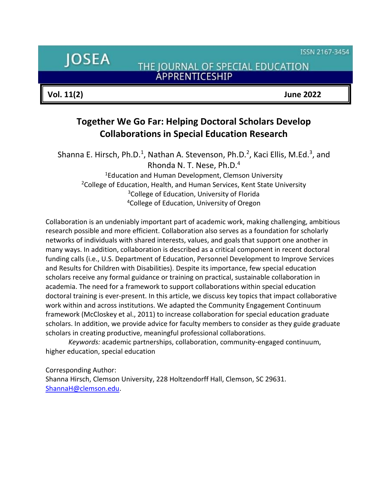ISSN 2167-3454

**JOSEA** 

THE JOURNAL OF SPECIAL EDUCATION ÁPPRENTICESHIP

**Vol. 11(2) June 2022**

## **Together We Go Far: Helping Doctoral Scholars Develop Collaborations in Special Education Research**

Shanna E. Hirsch, Ph.D.<sup>1</sup>, Nathan A. Stevenson, Ph.D.<sup>2</sup>, Kaci Ellis, M.Ed.<sup>3</sup>, and Rhonda N. T. Nese, Ph.D.<sup>4</sup> <sup>1</sup>Education and Human Development, Clemson University <sup>2</sup>College of Education, Health, and Human Services, Kent State University <sup>3</sup>College of Education, University of Florida <sup>4</sup>College of Education, University of Oregon

Collaboration is an undeniably important part of academic work, making challenging, ambitious research possible and more efficient. Collaboration also serves as a foundation for scholarly networks of individuals with shared interests, values, and goals that support one another in many ways. In addition, collaboration is described as a critical component in recent doctoral funding calls (i.e., U.S. Department of Education, Personnel Development to Improve Services and Results for Children with Disabilities). Despite its importance, few special education scholars receive any formal guidance or training on practical, sustainable collaboration in academia. The need for a framework to support collaborations within special education doctoral training is ever-present. In this article, we discuss key topics that impact collaborative work within and across institutions. We adapted the Community Engagement Continuum framework (McCloskey et al., 2011) to increase collaboration for special education graduate scholars. In addition, we provide advice for faculty members to consider as they guide graduate scholars in creating productive, meaningful professional collaborations.

*Keywords:* academic partnerships, collaboration, community-engaged continuum, higher education, special education

Corresponding Author: Shanna Hirsch, Clemson University, 228 Holtzendorff Hall, Clemson, SC 29631. [ShannaH@clemson.edu.](mailto:ShannaH@clemson.edu)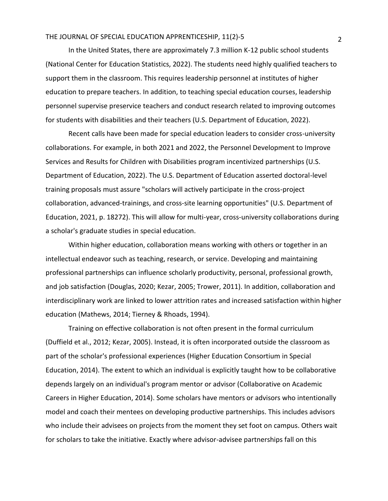In the United States, there are approximately 7.3 million K-12 public school students (National Center for Education Statistics, 2022). The students need highly qualified teachers to support them in the classroom. This requires leadership personnel at institutes of higher education to prepare teachers. In addition, to teaching special education courses, leadership personnel supervise preservice teachers and conduct research related to improving outcomes for students with disabilities and their teachers (U.S. Department of Education, 2022).

Recent calls have been made for special education leaders to consider cross-university collaborations. For example, in both 2021 and 2022, the Personnel Development to Improve Services and Results for Children with Disabilities program incentivized partnerships (U.S. Department of Education, 2022). The U.S. Department of Education asserted doctoral-level training proposals must assure "scholars will actively participate in the cross-project collaboration, advanced-trainings, and cross-site learning opportunities" (U.S. Department of Education, 2021, p. 18272). This will allow for multi-year, cross-university collaborations during a scholar's graduate studies in special education.

Within higher education, collaboration means working with others or together in an intellectual endeavor such as teaching, research, or service. Developing and maintaining professional partnerships can influence scholarly productivity, personal, professional growth, and job satisfaction (Douglas, 2020; Kezar, 2005; Trower, 2011). In addition, collaboration and interdisciplinary work are linked to lower attrition rates and increased satisfaction within higher education (Mathews, 2014; Tierney & Rhoads, 1994).

Training on effective collaboration is not often present in the formal curriculum (Duffield et al., 2012; Kezar, 2005). Instead, it is often incorporated outside the classroom as part of the scholar's professional experiences (Higher Education Consortium in Special Education, 2014). The extent to which an individual is explicitly taught how to be collaborative depends largely on an individual's program mentor or advisor (Collaborative on Academic Careers in Higher Education, 2014). Some scholars have mentors or advisors who intentionally model and coach their mentees on developing productive partnerships. This includes advisors who include their advisees on projects from the moment they set foot on campus. Others wait for scholars to take the initiative. Exactly where advisor-advisee partnerships fall on this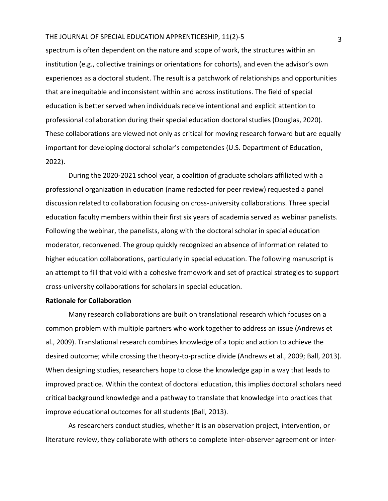spectrum is often dependent on the nature and scope of work, the structures within an institution (e.g., collective trainings or orientations for cohorts), and even the advisor's own experiences as a doctoral student. The result is a patchwork of relationships and opportunities that are inequitable and inconsistent within and across institutions. The field of special education is better served when individuals receive intentional and explicit attention to professional collaboration during their special education doctoral studies (Douglas, 2020). These collaborations are viewed not only as critical for moving research forward but are equally important for developing doctoral scholar's competencies (U.S. Department of Education, 2022).

During the 2020-2021 school year, a coalition of graduate scholars affiliated with a professional organization in education (name redacted for peer review) requested a panel discussion related to collaboration focusing on cross-university collaborations. Three special education faculty members within their first six years of academia served as webinar panelists. Following the webinar, the panelists, along with the doctoral scholar in special education moderator, reconvened. The group quickly recognized an absence of information related to higher education collaborations, particularly in special education. The following manuscript is an attempt to fill that void with a cohesive framework and set of practical strategies to support cross-university collaborations for scholars in special education.

### **Rationale for Collaboration**

Many research collaborations are built on translational research which focuses on a common problem with multiple partners who work together to address an issue (Andrews et al., 2009). Translational research combines knowledge of a topic and action to achieve the desired outcome; while crossing the theory-to-practice divide (Andrews et al., 2009; Ball, 2013). When designing studies, researchers hope to close the knowledge gap in a way that leads to improved practice. Within the context of doctoral education, this implies doctoral scholars need critical background knowledge and a pathway to translate that knowledge into practices that improve educational outcomes for all students (Ball, 2013).

As researchers conduct studies, whether it is an observation project, intervention, or literature review, they collaborate with others to complete inter-observer agreement or inter-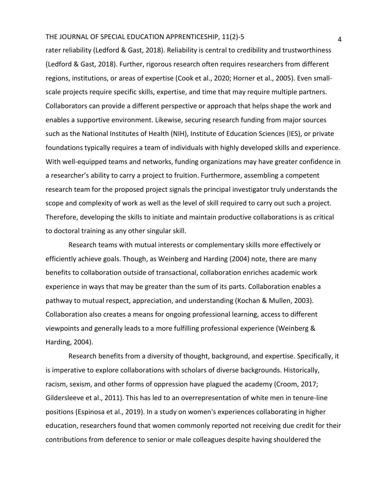rater reliability (Ledford & Gast, 2018). Reliability is central to credibility and trustworthiness (Ledford & Gast, 2018). Further, rigorous research often requires researchers from different regions, institutions, or areas of expertise (Cook et al., 2020; Horner et al., 2005). Even smallscale projects require specific skills, expertise, and time that may require multiple partners. Collaborators can provide a different perspective or approach that helps shape the work and enables a supportive environment. Likewise, securing research funding from major sources such as the National Institutes of Health (NIH), Institute of Education Sciences (IES), or private foundations typically requires a team of individuals with highly developed skills and experience. With well-equipped teams and networks, funding organizations may have greater confidence in a researcher's ability to carry a project to fruition. Furthermore, assembling a competent research team for the proposed project signals the principal investigator truly understands the scope and complexity of work as well as the level of skill required to carry out such a project. Therefore, developing the skills to initiate and maintain productive collaborations is as critical to doctoral training as any other singular skill.

Research teams with mutual interests or complementary skills more effectively or efficiently achieve goals. Though, as Weinberg and Harding (2004) note, there are many benefits to collaboration outside of transactional, collaboration enriches academic work experience in ways that may be greater than the sum of its parts. Collaboration enables a pathway to mutual respect, appreciation, and understanding (Kochan & Mullen, 2003). Collaboration also creates a means for ongoing professional learning, access to different viewpoints and generally leads to a more fulfilling professional experience (Weinberg & Harding, 2004).

Research benefits from a diversity of thought, background, and expertise. Specifically, it is imperative to explore collaborations with scholars of diverse backgrounds. Historically, racism, sexism, and other forms of oppression have plagued the academy (Croom, 2017; Gildersleeve et al., 2011). This has led to an overrepresentation of white men in tenure-line positions (Espinosa et al., 2019). In a study on women's experiences collaborating in higher education, researchers found that women commonly reported not receiving due credit for their contributions from deference to senior or male colleagues despite having shouldered the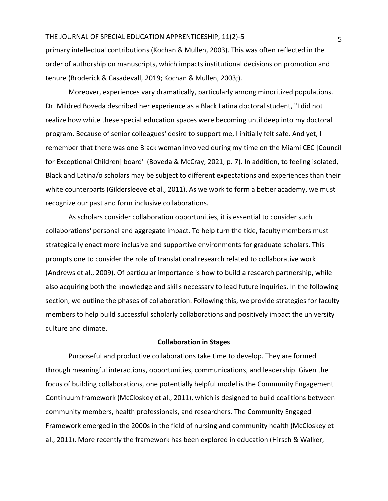primary intellectual contributions (Kochan & Mullen, 2003). This was often reflected in the order of authorship on manuscripts, which impacts institutional decisions on promotion and tenure (Broderick & Casadevall, 2019; Kochan & Mullen, 2003;).

Moreover, experiences vary dramatically, particularly among minoritized populations. Dr. Mildred Boveda described her experience as a Black Latina doctoral student, "I did not realize how white these special education spaces were becoming until deep into my doctoral program. Because of senior colleagues' desire to support me, I initially felt safe. And yet, I remember that there was one Black woman involved during my time on the Miami CEC [Council for Exceptional Children] board" (Boveda & McCray, 2021, p. 7). In addition, to feeling isolated, Black and Latina/o scholars may be subject to different expectations and experiences than their white counterparts (Gildersleeve et al., 2011). As we work to form a better academy, we must recognize our past and form inclusive collaborations.

As scholars consider collaboration opportunities, it is essential to consider such collaborations' personal and aggregate impact. To help turn the tide, faculty members must strategically enact more inclusive and supportive environments for graduate scholars. This prompts one to consider the role of translational research related to collaborative work (Andrews et al., 2009). Of particular importance is how to build a research partnership, while also acquiring both the knowledge and skills necessary to lead future inquiries. In the following section, we outline the phases of collaboration. Following this, we provide strategies for faculty members to help build successful scholarly collaborations and positively impact the university culture and climate.

#### **Collaboration in Stages**

 Purposeful and productive collaborations take time to develop. They are formed through meaningful interactions, opportunities, communications, and leadership. Given the focus of building collaborations, one potentially helpful model is the Community Engagement Continuum framework (McCloskey et al., 2011), which is designed to build coalitions between community members, health professionals, and researchers. The Community Engaged Framework emerged in the 2000s in the field of nursing and community health (McCloskey et al., 2011). More recently the framework has been explored in education (Hirsch & Walker,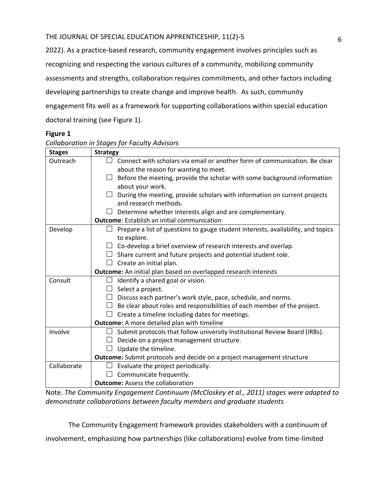2022). As a practice-based research, community engagement involves principles such as recognizing and respecting the various cultures of a community, mobilizing community assessments and strengths, collaboration requires commitments, and other factors including developing partnerships to create change and improve health. As such, community engagement fits well as a framework for supporting collaborations within special education doctoral training (see Figure 1).

## **Figure 1**

| Collaboration in Stages for Faculty Advisors |                                                                                  |
|----------------------------------------------|----------------------------------------------------------------------------------|
| <b>Stages</b>                                | <b>Strategy</b>                                                                  |
| Outreach                                     | Connect with scholars via email or another form of communication. Be clear       |
|                                              | about the reason for wanting to meet.                                            |
|                                              | Before the meeting, provide the scholar with some background information         |
|                                              | about your work.                                                                 |
|                                              | During the meeting, provide scholars with information on current projects        |
|                                              | and research methods.                                                            |
|                                              | Determine whether interests align and are complementary.                         |
|                                              | <b>Outcome:</b> Establish an initial communication                               |
| Develop                                      | Prepare a list of questions to gauge student interests, availability, and topics |
|                                              | to explore.                                                                      |
|                                              | Co-develop a brief overview of research interests and overlap.                   |
|                                              | $\Box$ Share current and future projects and potential student role.             |
|                                              | Create an initial plan.                                                          |
|                                              | Outcome: An initial plan based on overlapped research interests                  |
| Consult                                      | Identify a shared goal or vision.<br>$\Box$                                      |
|                                              | Select a project.                                                                |
|                                              | Discuss each partner's work style, pace, schedule, and norms.                    |
|                                              | Be clear about roles and responsibilities of each member of the project.         |
|                                              | Create a timeline including dates for meetings.                                  |
|                                              | <b>Outcome:</b> A more detailed plan with timeline                               |
| Involve                                      | Submit protocols that follow university Institutional Review Board (IRBs).       |
|                                              | Decide on a project management structure.                                        |
|                                              | Update the timeline.                                                             |
|                                              | <b>Outcome:</b> Submit protocols and decide on a project management structure    |
| Collaborate                                  | Evaluate the project periodically.                                               |
|                                              | Communicate frequently.                                                          |
|                                              | <b>Outcome: Assess the collaboration</b>                                         |

Note. *The Community Engagement Continuum (McCloskey et al., 2011) stages were adapted to demonstrate collaborations between faculty members and graduate students* 

The Community Engagement framework provides stakeholders with a continuum of

involvement, emphasizing how partnerships (like collaborations) evolve from time-limited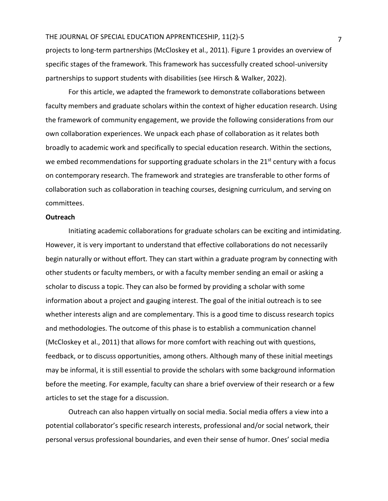projects to long-term partnerships (McCloskey et al., 2011). Figure 1 provides an overview of specific stages of the framework. This framework has successfully created school-university partnerships to support students with disabilities (see Hirsch & Walker, 2022).

For this article, we adapted the framework to demonstrate collaborations between faculty members and graduate scholars within the context of higher education research. Using the framework of community engagement, we provide the following considerations from our own collaboration experiences. We unpack each phase of collaboration as it relates both broadly to academic work and specifically to special education research. Within the sections, we embed recommendations for supporting graduate scholars in the 21<sup>st</sup> century with a focus on contemporary research. The framework and strategies are transferable to other forms of collaboration such as collaboration in teaching courses, designing curriculum, and serving on committees.

#### **Outreach**

Initiating academic collaborations for graduate scholars can be exciting and intimidating. However, it is very important to understand that effective collaborations do not necessarily begin naturally or without effort. They can start within a graduate program by connecting with other students or faculty members, or with a faculty member sending an email or asking a scholar to discuss a topic. They can also be formed by providing a scholar with some information about a project and gauging interest. The goal of the initial outreach is to see whether interests align and are complementary. This is a good time to discuss research topics and methodologies. The outcome of this phase is to establish a communication channel (McCloskey et al., 2011) that allows for more comfort with reaching out with questions, feedback, or to discuss opportunities, among others. Although many of these initial meetings may be informal, it is still essential to provide the scholars with some background information before the meeting. For example, faculty can share a brief overview of their research or a few articles to set the stage for a discussion.

Outreach can also happen virtually on social media. Social media offers a view into a potential collaborator's specific research interests, professional and/or social network, their personal versus professional boundaries, and even their sense of humor. Ones' social media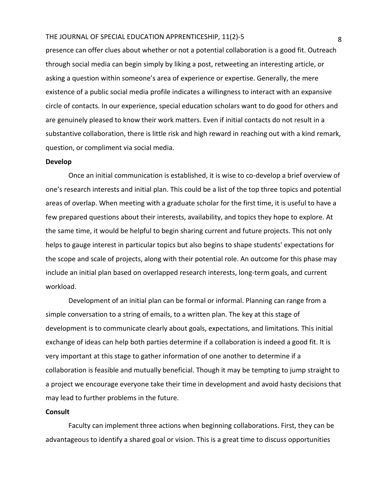presence can offer clues about whether or not a potential collaboration is a good fit. Outreach through social media can begin simply by liking a post, retweeting an interesting article, or asking a question within someone's area of experience or expertise. Generally, the mere existence of a public social media profile indicates a willingness to interact with an expansive circle of contacts. In our experience, special education scholars want to do good for others and are genuinely pleased to know their work matters. Even if initial contacts do not result in a substantive collaboration, there is little risk and high reward in reaching out with a kind remark, question, or compliment via social media.

#### **Develop**

Once an initial communication is established, it is wise to co-develop a brief overview of one's research interests and initial plan. This could be a list of the top three topics and potential areas of overlap. When meeting with a graduate scholar for the first time, it is useful to have a few prepared questions about their interests, availability, and topics they hope to explore. At the same time, it would be helpful to begin sharing current and future projects. This not only helps to gauge interest in particular topics but also begins to shape students' expectations for the scope and scale of projects, along with their potential role. An outcome for this phase may include an initial plan based on overlapped research interests, long-term goals, and current workload.

Development of an initial plan can be formal or informal. Planning can range from a simple conversation to a string of emails, to a written plan. The key at this stage of development is to communicate clearly about goals, expectations, and limitations. This initial exchange of ideas can help both parties determine if a collaboration is indeed a good fit. It is very important at this stage to gather information of one another to determine if a collaboration is feasible and mutually beneficial. Though it may be tempting to jump straight to a project we encourage everyone take their time in development and avoid hasty decisions that may lead to further problems in the future.

#### **Consult**

Faculty can implement three actions when beginning collaborations. First, they can be advantageous to identify a shared goal or vision. This is a great time to discuss opportunities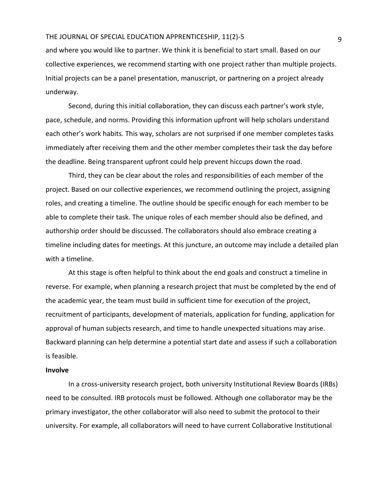and where you would like to partner. We think it is beneficial to start small. Based on our collective experiences, we recommend starting with one project rather than multiple projects. Initial projects can be a panel presentation, manuscript, or partnering on a project already underway.

Second, during this initial collaboration, they can discuss each partner's work style, pace, schedule, and norms. Providing this information upfront will help scholars understand each other's work habits. This way, scholars are not surprised if one member completes tasks immediately after receiving them and the other member completes their task the day before the deadline. Being transparent upfront could help prevent hiccups down the road.

Third, they can be clear about the roles and responsibilities of each member of the project. Based on our collective experiences, we recommend outlining the project, assigning roles, and creating a timeline. The outline should be specific enough for each member to be able to complete their task. The unique roles of each member should also be defined, and authorship order should be discussed. The collaborators should also embrace creating a timeline including dates for meetings. At this juncture, an outcome may include a detailed plan with a timeline.

At this stage is often helpful to think about the end goals and construct a timeline in reverse. For example, when planning a research project that must be completed by the end of the academic year, the team must build in sufficient time for execution of the project, recruitment of participants, development of materials, application for funding, application for approval of human subjects research, and time to handle unexpected situations may arise. Backward planning can help determine a potential start date and assess if such a collaboration is feasible.

#### **Involve**

In a cross-university research project, both university Institutional Review Boards (IRBs) need to be consulted. IRB protocols must be followed. Although one collaborator may be the primary investigator, the other collaborator will also need to submit the protocol to their university. For example, all collaborators will need to have current Collaborative Institutional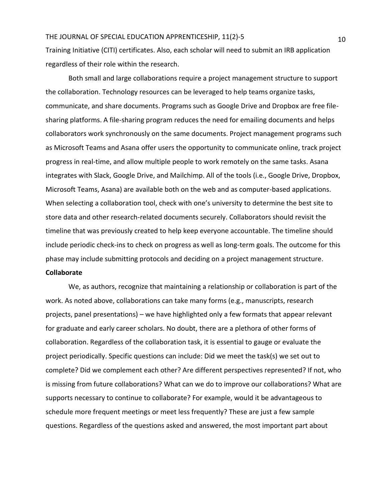Training Initiative (CITI) certificates. Also, each scholar will need to submit an IRB application regardless of their role within the research.

Both small and large collaborations require a project management structure to support the collaboration. Technology resources can be leveraged to help teams organize tasks, communicate, and share documents. Programs such as Google Drive and Dropbox are free filesharing platforms. A file-sharing program reduces the need for emailing documents and helps collaborators work synchronously on the same documents. Project management programs such as Microsoft Teams and Asana offer users the opportunity to communicate online, track project progress in real-time, and allow multiple people to work remotely on the same tasks. Asana integrates with Slack, Google Drive, and Mailchimp. All of the tools (i.e., Google Drive, Dropbox, Microsoft Teams, Asana) are available both on the web and as computer-based applications. When selecting a collaboration tool, check with one's university to determine the best site to store data and other research-related documents securely. Collaborators should revisit the timeline that was previously created to help keep everyone accountable. The timeline should include periodic check-ins to check on progress as well as long-term goals. The outcome for this phase may include submitting protocols and deciding on a project management structure.

## **Collaborate**

We, as authors, recognize that maintaining a relationship or collaboration is part of the work. As noted above, collaborations can take many forms (e.g., manuscripts, research projects, panel presentations) – we have highlighted only a few formats that appear relevant for graduate and early career scholars. No doubt, there are a plethora of other forms of collaboration. Regardless of the collaboration task, it is essential to gauge or evaluate the project periodically. Specific questions can include: Did we meet the task(s) we set out to complete? Did we complement each other? Are different perspectives represented? If not, who is missing from future collaborations? What can we do to improve our collaborations? What are supports necessary to continue to collaborate? For example, would it be advantageous to schedule more frequent meetings or meet less frequently? These are just a few sample questions. Regardless of the questions asked and answered, the most important part about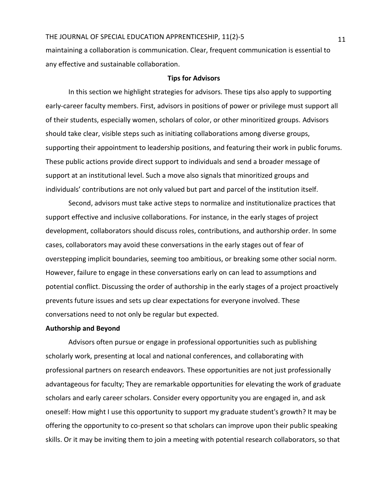maintaining a collaboration is communication. Clear, frequent communication is essential to any effective and sustainable collaboration.

#### **Tips for Advisors**

In this section we highlight strategies for advisors. These tips also apply to supporting early-career faculty members. First, advisors in positions of power or privilege must support all of their students, especially women, scholars of color, or other minoritized groups. Advisors should take clear, visible steps such as initiating collaborations among diverse groups, supporting their appointment to leadership positions, and featuring their work in public forums. These public actions provide direct support to individuals and send a broader message of support at an institutional level. Such a move also signals that minoritized groups and individuals' contributions are not only valued but part and parcel of the institution itself.

Second, advisors must take active steps to normalize and institutionalize practices that support effective and inclusive collaborations. For instance, in the early stages of project development, collaborators should discuss roles, contributions, and authorship order. In some cases, collaborators may avoid these conversations in the early stages out of fear of overstepping implicit boundaries, seeming too ambitious, or breaking some other social norm. However, failure to engage in these conversations early on can lead to assumptions and potential conflict. Discussing the order of authorship in the early stages of a project proactively prevents future issues and sets up clear expectations for everyone involved. These conversations need to not only be regular but expected.

#### **Authorship and Beyond**

Advisors often pursue or engage in professional opportunities such as publishing scholarly work, presenting at local and national conferences, and collaborating with professional partners on research endeavors. These opportunities are not just professionally advantageous for faculty; They are remarkable opportunities for elevating the work of graduate scholars and early career scholars. Consider every opportunity you are engaged in, and ask oneself: How might I use this opportunity to support my graduate student's growth? It may be offering the opportunity to co-present so that scholars can improve upon their public speaking skills. Or it may be inviting them to join a meeting with potential research collaborators, so that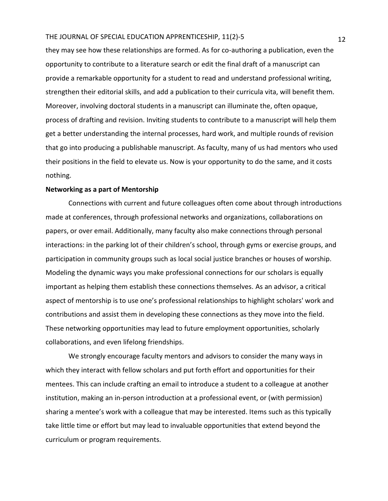they may see how these relationships are formed. As for co-authoring a publication, even the opportunity to contribute to a literature search or edit the final draft of a manuscript can provide a remarkable opportunity for a student to read and understand professional writing, strengthen their editorial skills, and add a publication to their curricula vita, will benefit them. Moreover, involving doctoral students in a manuscript can illuminate the, often opaque, process of drafting and revision. Inviting students to contribute to a manuscript will help them get a better understanding the internal processes, hard work, and multiple rounds of revision that go into producing a publishable manuscript. As faculty, many of us had mentors who used their positions in the field to elevate us. Now is your opportunity to do the same, and it costs nothing.

#### **Networking as a part of Mentorship**

Connections with current and future colleagues often come about through introductions made at conferences, through professional networks and organizations, collaborations on papers, or over email. Additionally, many faculty also make connections through personal interactions: in the parking lot of their children's school, through gyms or exercise groups, and participation in community groups such as local social justice branches or houses of worship. Modeling the dynamic ways you make professional connections for our scholars is equally important as helping them establish these connections themselves. As an advisor, a critical aspect of mentorship is to use one's professional relationships to highlight scholars' work and contributions and assist them in developing these connections as they move into the field. These networking opportunities may lead to future employment opportunities, scholarly collaborations, and even lifelong friendships.

We strongly encourage faculty mentors and advisors to consider the many ways in which they interact with fellow scholars and put forth effort and opportunities for their mentees. This can include crafting an email to introduce a student to a colleague at another institution, making an in-person introduction at a professional event, or (with permission) sharing a mentee's work with a colleague that may be interested. Items such as this typically take little time or effort but may lead to invaluable opportunities that extend beyond the curriculum or program requirements.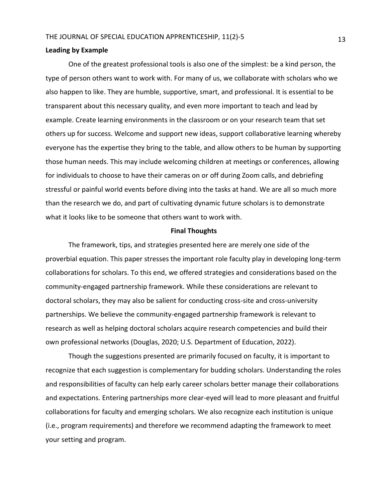#### **Leading by Example**

One of the greatest professional tools is also one of the simplest: be a kind person, the type of person others want to work with. For many of us, we collaborate with scholars who we also happen to like. They are humble, supportive, smart, and professional. It is essential to be transparent about this necessary quality, and even more important to teach and lead by example. Create learning environments in the classroom or on your research team that set others up for success. Welcome and support new ideas, support collaborative learning whereby everyone has the expertise they bring to the table, and allow others to be human by supporting those human needs. This may include welcoming children at meetings or conferences, allowing for individuals to choose to have their cameras on or off during Zoom calls, and debriefing stressful or painful world events before diving into the tasks at hand. We are all so much more than the research we do, and part of cultivating dynamic future scholars is to demonstrate what it looks like to be someone that others want to work with.

#### **Final Thoughts**

The framework, tips, and strategies presented here are merely one side of the proverbial equation. This paper stresses the important role faculty play in developing long-term collaborations for scholars. To this end, we offered strategies and considerations based on the community-engaged partnership framework. While these considerations are relevant to doctoral scholars, they may also be salient for conducting cross-site and cross-university partnerships. We believe the community-engaged partnership framework is relevant to research as well as helping doctoral scholars acquire research competencies and build their own professional networks (Douglas, 2020; U.S. Department of Education, 2022).

Though the suggestions presented are primarily focused on faculty, it is important to recognize that each suggestion is complementary for budding scholars. Understanding the roles and responsibilities of faculty can help early career scholars better manage their collaborations and expectations. Entering partnerships more clear-eyed will lead to more pleasant and fruitful collaborations for faculty and emerging scholars. We also recognize each institution is unique (i.e., program requirements) and therefore we recommend adapting the framework to meet your setting and program.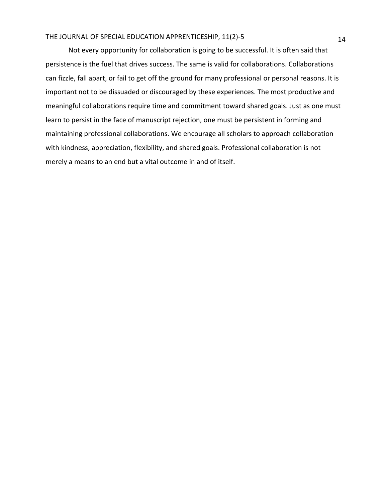Not every opportunity for collaboration is going to be successful. It is often said that persistence is the fuel that drives success. The same is valid for collaborations. Collaborations can fizzle, fall apart, or fail to get off the ground for many professional or personal reasons. It is important not to be dissuaded or discouraged by these experiences. The most productive and meaningful collaborations require time and commitment toward shared goals. Just as one must learn to persist in the face of manuscript rejection, one must be persistent in forming and maintaining professional collaborations. We encourage all scholars to approach collaboration with kindness, appreciation, flexibility, and shared goals. Professional collaboration is not merely a means to an end but a vital outcome in and of itself.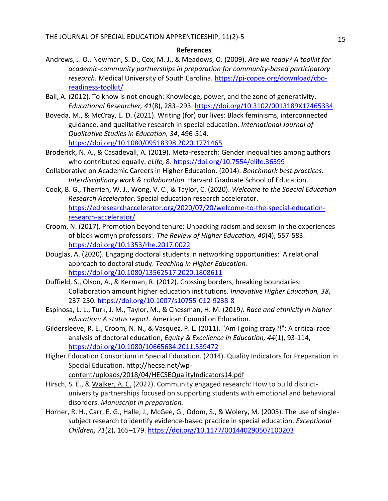### **References**

- Andrews, J. O., Newman, S. D., Cox, M. J., & Meadows, O. (2009). *Are we ready? A toolkit for academic-community partnerships in preparation for community-based participatory research.* Medical University of South Carolina. [https://pi-copce.org/download/cbo](https://pi-copce.org/download/cbo-readiness-toolkit/)[readiness-toolkit/](https://pi-copce.org/download/cbo-readiness-toolkit/)
- Ball, A. (2012). To know is not enough: Knowledge, power, and the zone of generativity. *Educational Researcher, 41*(8), 283–293.<https://doi.org/10.3102/0013189X12465334>
- Boveda, M., & McCray, E. D. (2021). Writing (for) our lives: Black feminisms, interconnected guidance, and qualitative research in special education. *International Journal of Qualitative Studies in Education, 34*, 496-514. <https://doi.org/10.1080/09518398.2020.1771465>
- Broderick, N. A., & Casadevall, A. (2019). Meta-research: Gender inequalities among authors who contributed equally. *eLife,* 8[. https://doi.org/10.7554/elife.36399](https://doi.org/10.7554/elife.36399)
- Collaborative on Academic Careers in Higher Education. (2014). *Benchmark best practices: Interdisciplinary work & collaboration.* Harvard Graduate School of Education.
- Cook, B. G., Therrien, W. J., Wong, V. C., & Taylor, C. (2020). *Welcome to the Special Education Research Accelerator*. Special education research accelerator. [https://edresearchaccelerator.org/2020/07/20/welcome-to-the-special-education](https://edresearchaccelerator.org/2020/07/20/welcome-to-the-special-education-research-accelerator/)[research-accelerator/](https://edresearchaccelerator.org/2020/07/20/welcome-to-the-special-education-research-accelerator/)
- Croom, N. (2017). Promotion beyond tenure: Unpacking racism and sexism in the experiences of black womyn professors'. *The Review of Higher Education, 40*(4), 557-583. <https://doi.org/10.1353/rhe.2017.0022>
- Douglas, A. (2020). Engaging doctoral students in networking opportunities: A relational approach to doctoral study. *Teaching in Higher Education.* <https://doi.org/10.1080/13562517.2020.1808611>
- Duffield, S., Olson, A., & Kerman, R. (2012). Crossing borders, breaking boundaries: Collaboration amount higher education institutions. *Innovative Higher Education, 38*, 237-250.<https://doi.org/10.1007/s10755-012-9238-8>
- Espinosa, L. L., Turk, J. M., Taylor, M., & Chessman, H. M. (2019*). Race and ethnicity in higher education: A status report*. American Council on Education.
- Gildersleeve, R. E., Croom, N. N., & Vasquez, P. L. (2011). "Am I going crazy?!": A critical race analysis of doctoral education, *Equity & Excellence in Education, 44*(1), 93-114, <https://doi.org/10.1080/10665684.2011.539472>
- Higher Education Consortium in Special Education. (2014). Quality Indicators for Preparation in Special Education. [http://hecse.net/wp](http://hecse.net/wp-content/uploads/2018/04/HECSEQualityIndicators14.pdf)[content/uploads/2018/04/HECSEQualityIndicators14.pdf](http://hecse.net/wp-content/uploads/2018/04/HECSEQualityIndicators14.pdf)
- Hirsch, S. E., & Walker, A. C. (2022). Community engaged research: How to build districtuniversity partnerships focused on supporting students with emotional and behavioral disorders. *Manuscript in preparation.*
- Horner, R. H., Carr, E. G., Halle, J., McGee, G., Odom, S., & Wolery, M. (2005). The use of singlesubject research to identify evidence-based practice in special education. *Exceptional Children, 71*(2), 165–179.<https://doi.org/10.1177/001440290507100203>